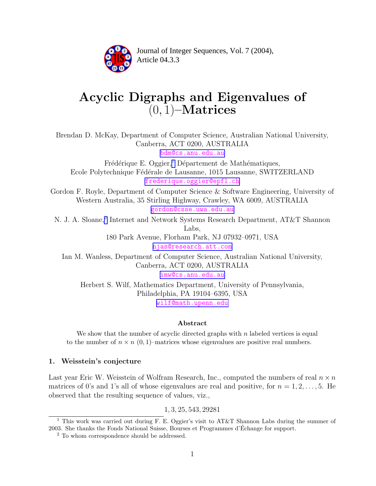

Article 04.3.3 **<sup>2</sup>** Journal of Integer Sequences, Vol. 7 (2004),

# Acyclic Digraphs and Eigenvalues of  $(0, 1)$ –Matrices

Brendan D. McKay, Department of Computer Science, Australian National University, Canberra, ACT 0200, AUSTRALIA

[bdm@cs.anu.edu.au](mailto:bdm@cs.anu.edu.au)

Frédérique E. Oggier,<sup>1</sup> Département de Mathématiques, Ecole Polytechnique Fédérale de Lausanne, 1015 Lausanne, SWITZERLAND [frederique.oggier@epfl.ch](mailto:frederique.oggier@epfl.ch)

Gordon F. Royle, Department of Computer Science & Software Engineering, University of Western Australia, 35 Stirling Highway, Crawley, WA 6009, AUSTRALIA [gordon@csse.uwa.edu.au](mailto:gordon@csse.uwa.edu.au)

N. J. A. Sloane,<sup>2</sup> Internet and Network Systems Research Department, AT&T Shannon Labs,

> 180 Park Avenue, Florham Park, NJ 07932–0971, USA [njas@research.att.com](mailto:njas@research.att.com)

Ian M. Wanless, Department of Computer Science, Australian National University, Canberra, ACT 0200, AUSTRALIA [imw@cs.anu.edu.au](mailto:imw@cs.anu.edu.au)

Herbert S. Wilf, Mathematics Department, University of Pennsylvania, Philadelphia, PA 19104–6395, USA [wilf@math.upenn.edu](mailto:wilf@math.upenn.edu)

## Abstract

We show that the number of acyclic directed graphs with  $n$  labeled vertices is equal to the number of  $n \times n$  (0, 1)–matrices whose eigenvalues are positive real numbers.

## 1. Weisstein's conjecture

Last year Eric W. Weisstein of Wolfram Research, Inc., computed the numbers of real  $n \times n$ matrices of 0's and 1's all of whose eigenvalues are real and positive, for  $n = 1, 2, \ldots, 5$ . He observed that the resulting sequence of values, viz.,

1, 3, 25, 543, 29281

<sup>&</sup>lt;sup>1</sup> This work was carried out during F. E. Oggier's visit to AT&T Shannon Labs during the summer of 2003. She thanks the Fonds National Suisse, Bourses et Programmes d'Échange for support.

<sup>&</sup>lt;sup>2</sup> To whom correspondence should be addressed.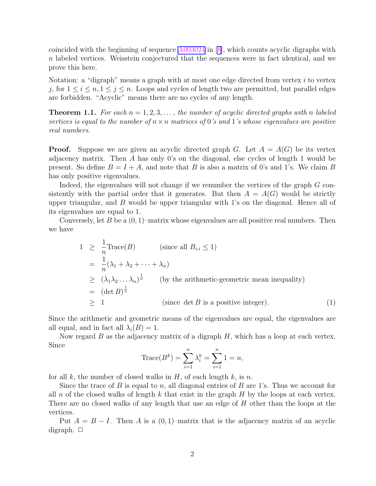<span id="page-1-0"></span>coincided with the beginning of sequence [A003024](http://www.research.att.com/cgi-bin/access.cgi/as/njas/sequences/eisA.cgi?Anum=A003024) in [\[8\]](#page-4-0), which counts acyclic digraphs with n labeled vertices. Weisstein conjectured that the sequences were in fact identical, and we prove this here.

Notation: a "digraph" means a graph with at most one edge directed from vertex  $i$  to vertex j, for  $1 \leq i \leq n, 1 \leq j \leq n$ . Loops and cycles of length two are permitted, but parallel edges are forbidden. "Acyclic" means there are no cycles of any length.

**Theorem 1.1.** For each  $n = 1, 2, 3, \ldots$ , the number of acyclic directed graphs with n labeled vertices is equal to the number of  $n \times n$  matrices of 0's and 1's whose eigenvalues are positive real numbers.

**Proof.** Suppose we are given an acyclic directed graph G. Let  $A = A(G)$  be its vertex adjacency matrix. Then A has only 0's on the diagonal, else cycles of length 1 would be present. So define  $B = I + A$ , and note that B is also a matrix of 0's and 1's. We claim B has only positive eigenvalues.

Indeed, the eigenvalues will not change if we renumber the vertices of the graph G consistently with the partial order that it generates. But then  $A = A(G)$  would be strictly upper triangular, and  $B$  would be upper triangular with 1's on the diagonal. Hence all of its eigenvalues are equal to 1.

Conversely, let  $B$  be a  $(0, 1)$ –matrix whose eigenvalues are all positive real numbers. Then we have

$$
1 \geq \frac{1}{n} \text{Trace}(B) \qquad \text{(since all } B_{i,i} \leq 1\text{)}
$$
\n
$$
= \frac{1}{n} (\lambda_1 + \lambda_2 + \dots + \lambda_n)
$$
\n
$$
\geq (\lambda_1 \lambda_2 \dots \lambda_n)^{\frac{1}{n}} \qquad \text{(by the arithmetic-geometric mean inequality)}
$$
\n
$$
= (\det B)^{\frac{1}{n}}
$$
\n
$$
\geq 1 \qquad \text{(since } \det B \text{ is a positive integer).} \qquad (1)
$$

Since the arithmetic and geometric means of the eigenvalues are equal, the eigenvalues are all equal, and in fact all  $\lambda_i(B) = 1$ .

Now regard  $B$  as the adjacency matrix of a digraph  $H$ , which has a loop at each vertex. Since

Trace
$$
(B^k)
$$
 =  $\sum_{i=1}^n \lambda_i^k = \sum_{i=1}^n 1 = n$ ,

for all k, the number of closed walks in  $H$ , of each length k, is n.

Since the trace of B is equal to n, all diagonal entries of B are 1's. Thus we account for all n of the closed walks of length k that exist in the graph H by the loops at each vertex. There are no closed walks of any length that use an edge of H other than the loops at the vertices.

Put  $A = B - I$ . Then A is a (0, 1)–matrix that is the adjacency matrix of an acyclic digraph.  $\Box$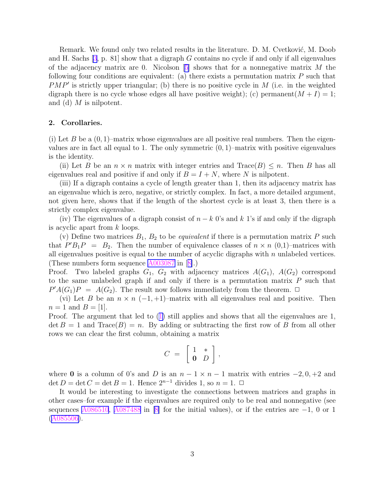Remark. We found only two related results in the literature. D. M. Cvetković, M. Doob and H. Sachs  $[3, p. 81]$  $[3, p. 81]$  show that a digraph G contains no cycle if and only if all eigenvalues of the adjacency matrix are 0. Nicolson  $[5]$  $[5]$  shows that for a nonnegative matrix M the following four conditions are equivalent: (a) there exists a permutation matrix  $P$  such that  $PMP'$  is strictly upper triangular; (b) there is no positive cycle in M (i.e. in the weighted digraph there is no cycle whose edges all have positive weight); (c) permanent $(M + I) = 1$ ; and (d)  $M$  is nilpotent.

#### 2. Corollaries.

(i) Let B be a  $(0, 1)$ –matrix whose eigenvalues are all positive real numbers. Then the eigenvalues are in fact all equal to 1. The only symmetric  $(0, 1)$ –matrix with positive eigenvalues is the identity.

(ii) Let B be an  $n \times n$  matrix with integer entries and  $Trace(B) \leq n$ . Then B has all eigenvalues real and positive if and only if  $B = I + N$ , where N is nilpotent.

(iii) If a digraph contains a cycle of length greater than 1, then its adjacency matrix has an eigenvalue which is zero, negative, or strictly complex. In fact, a more detailed argument, not given here, shows that if the length of the shortest cycle is at least 3, then there is a strictly complex eigenvalue.

(iv) The eigenvalues of a digraph consist of  $n - k$  0's and k 1's if and only if the digraph is acyclic apart from k loops.

(v) Define two matrices  $B_1, B_2$  to be *equivalent* if there is a permutation matrix P such that  $P'B_1P = B_2$ . Then the number of equivalence classes of  $n \times n$  (0,1)-matrices with all eigenvalues positive is equal to the number of acyclic digraphs with  $n$  unlabeled vertices. (These numbers form sequence [A003087](http://www.research.att.com/cgi-bin/access.cgi/as/njas/sequences/eisA.cgi?Anum=A003087) in [[8\]](#page-4-0).)

Proof. Two labeled graphs  $G_1$ ,  $G_2$  with adjacency matrices  $A(G_1)$ ,  $A(G_2)$  correspond to the same unlabeled graph if and only if there is a permutation matrix  $P$  such that  $P'A(G_1)P = A(G_2)$ . The result now follows immediately from the theorem.  $\Box$ 

(vi) Let B be an  $n \times n$  (-1, +1)–matrix with all eigenvalues real and positive. Then  $n = 1$  and  $B = [1]$ .

Proof. The argument that led to ([1\)](#page-1-0) still applies and shows that all the eigenvalues are 1,  $\det B = 1$  and  $Trace(B) = n$ . By adding or subtracting the first row of B from all other rows we can clear the first column, obtaining a matrix

$$
C = \left[ \begin{array}{cc} 1 & * \\ \mathbf{0} & D \end{array} \right],
$$

where 0 is a column of 0's and D is an  $n-1 \times n-1$  matrix with entries  $-2, 0, +2$  and det  $D = \det C = \det B = 1$ . Hence  $2^{n-1}$  divides 1, so  $n = 1$ .  $\Box$ 

It would be interesting to investigate the connections between matrices and graphs in other cases–for example if the eigenvalues are required only to be real and nonnegative (see sequences [A086510](http://www.research.att.com/cgi-bin/access.cgi/as/njas/sequences/eisA.cgi?Anum=A086510), [A087488](http://www.research.att.com/cgi-bin/access.cgi/as/njas/sequences/eisA.cgi?Anum=A087488) in [\[8\]](#page-4-0) for the initial values), or if the entries are  $-1$ , 0 or 1 ([A085506\)](http://www.research.att.com/cgi-bin/access.cgi/as/njas/sequences/eisA.cgi?Anum=A085506).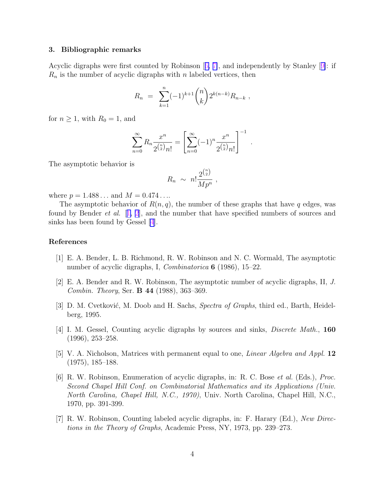#### <span id="page-3-0"></span>3. Bibliographic remarks

Acyclic digraphs were first counted by Robinson  $[6, 7]$ , and independently by Stanley  $[9]$  $[9]$ : if  $R_n$  is the number of acyclic digraphs with n labeled vertices, then

$$
R_n = \sum_{k=1}^n (-1)^{k+1} \binom{n}{k} 2^{k(n-k)} R_{n-k} ,
$$

for  $n \geq 1$ , with  $R_0 = 1$ , and

$$
\sum_{n=0}^{\infty} R_n \frac{x^n}{2^{\binom{n}{2}} n!} = \left[ \sum_{n=0}^{\infty} (-1)^n \frac{x^n}{2^{\binom{n}{2}} n!} \right]^{-1}
$$

.

The asymptotic behavior is

$$
R_n \sim n! \frac{2^{\binom{n}{2}}}{Mp^n} ,
$$

where  $p = 1.488...$  and  $M = 0.474...$ 

The asymptotic behavior of  $R(n, q)$ , the number of these graphs that have q edges, was found by Bender *et al.*  $[1, 2]$ , and the number that have specified numbers of sources and sinks has been found by Gessel [4].

### References

- [1] E. A. Bender, L. B. Richmond, R. W. Robinson and N. C. Wormald, The asymptotic number of acyclic digraphs, I, *Combinatorica* **6** (1986), 15–22.
- [2] E. A. Bender and R. W. Robinson, The asymptotic number of acyclic digraphs, II,  $J$ . Combin. Theory, Ser. B 44 (1988), 363–369.
- [3] D. M. Cvetković, M. Doob and H. Sachs, Spectra of Graphs, third ed., Barth, Heidelberg, 1995.
- [4] I. M. Gessel, Counting acyclic digraphs by sources and sinks, Discrete Math., 160 (1996), 253–258.
- [5] V. A. Nicholson, Matrices with permanent equal to one, Linear Algebra and Appl. 12 (1975), 185–188.
- [6] R. W. Robinson, Enumeration of acyclic digraphs, in: R. C. Bose et al. (Eds.), Proc. Second Chapel Hill Conf. on Combinatorial Mathematics and its Applications (Univ. North Carolina, Chapel Hill, N.C., 1970), Univ. North Carolina, Chapel Hill, N.C., 1970, pp. 391-399.
- [7] R. W. Robinson, Counting labeled acyclic digraphs, in: F. Harary (Ed.), New Directions in the Theory of Graphs, Academic Press, NY, 1973, pp. 239–273.